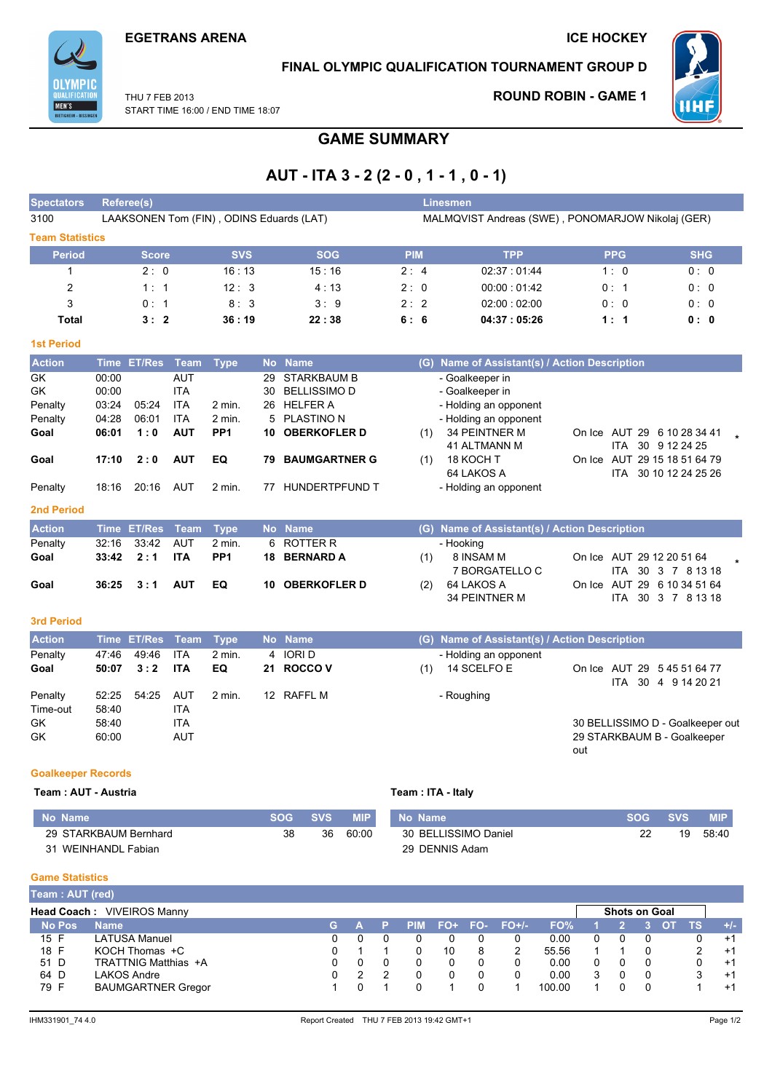

## FINAL OLYMPIC QUALIFICATION TOURNAMENT GROUP D

- Holding an opponent

THU 7 FFB 2013 START TIME 16:00 / END TIME 18:07

## **ROUND ROBIN - GAME 1**



77 HUNDERTPFUND T

# **GAME SUMMARY**

# AUT - ITA 3 - 2 (2 - 0, 1 - 1, 0 - 1)

| <b>Spectators</b>      |             | <b>Referee(s)</b> |             |                                          |           |                      |            |     | <b>Linesmen</b>                                   |        |            |                                       |
|------------------------|-------------|-------------------|-------------|------------------------------------------|-----------|----------------------|------------|-----|---------------------------------------------------|--------|------------|---------------------------------------|
| 3100                   |             |                   |             | LAAKSONEN Tom (FIN), ODINS Eduards (LAT) |           |                      |            |     | MALMQVIST Andreas (SWE), PONOMARJOW Nikolaj (GER) |        |            |                                       |
| <b>Team Statistics</b> |             |                   |             |                                          |           |                      |            |     |                                                   |        |            |                                       |
| <b>Period</b>          |             | <b>Score</b>      |             | <b>SVS</b>                               |           | <b>SOG</b>           | <b>PIM</b> |     | <b>TPP</b>                                        |        | <b>PPG</b> | <b>SHG</b>                            |
| 1                      |             | 2:0               |             | 16:13                                    |           | 15:16                | 2:4        |     | 02:37:01:44                                       |        | 1:0        | 0:0                                   |
| 2                      |             | 1:1               |             | 12:3                                     |           | 4:13                 | 2:0        |     | 00:00:01:42                                       |        | 0:1        | 0:0                                   |
| 3                      |             | 0:1               |             | 8:3                                      |           | 3:9                  | 2:2        |     | 02:00:02:00                                       |        | 0:0        | 0:0                                   |
| Total                  |             | 3:2               |             | 36:19                                    |           | 22:38                | 6:6        |     | 04:37:05:26                                       |        | 1:1        | 0: 0                                  |
| <b>1st Period</b>      |             |                   |             |                                          |           |                      |            |     |                                                   |        |            |                                       |
| <b>Action</b>          | <b>Time</b> | <b>ET/Res</b>     | <b>Team</b> | <b>Type</b>                              | <b>No</b> | <b>Name</b>          |            | (G) | Name of Assistant(s) / Action Description         |        |            |                                       |
| <b>GK</b>              | 00:00       |                   | <b>AUT</b>  |                                          | 29        | <b>STARKBAUM B</b>   |            |     | - Goalkeeper in                                   |        |            |                                       |
| <b>GK</b>              | 00:00       |                   | <b>ITA</b>  |                                          | 30        | <b>BELLISSIMO D</b>  |            |     | - Goalkeeper in                                   |        |            |                                       |
| Penalty                | 03:24       | 05:24             | <b>ITA</b>  | 2 min.                                   | 26        | <b>HELFER A</b>      |            |     | - Holding an opponent                             |        |            |                                       |
| Penalty                | 04:28       | 06:01             | <b>ITA</b>  | $2$ min.                                 | 5.        | <b>PLASTINO N</b>    |            |     | - Holding an opponent                             |        |            |                                       |
| Goal                   | 06:01       | 1:0               | <b>AUT</b>  | PP <sub>1</sub>                          | 10        | <b>OBERKOFLER D</b>  |            | (1) | <b>34 PEINTNER M</b>                              | On Ice | 29<br>AUT  | 6 10 28 34 41<br>$\ddot{\phantom{a}}$ |
|                        |             |                   |             |                                          |           |                      |            |     | <b>41 ALTMANN M</b>                               |        | ITA.       | 30 9 12 24 25                         |
| Goal                   | 17:10       | 2:0               | <b>AUT</b>  | EQ                                       | 79        | <b>BAUMGARTNER G</b> |            | (1) | 18 KOCH T                                         | On Ice |            | AUT 29 15 18 51 64 79                 |
|                        |             |                   |             |                                          |           |                      |            |     | 64 LAKOS A                                        |        | ITA        | 30 10 12 24 25 26                     |

|  |  |  | $2$ min. |
|--|--|--|----------|
|--|--|--|----------|

#### **2nd Period**

Penalty

| <b>Action</b> | Time ET/Res Team Type |        | <b>No</b> Name  |     | (G) Name of Assistant(s) / Action Description |                                                   |  |
|---------------|-----------------------|--------|-----------------|-----|-----------------------------------------------|---------------------------------------------------|--|
| Penalty       |                       | 2 min. | 6 ROTTER R      |     | - Hooking                                     |                                                   |  |
| Goal          | $33:42$ 2:1 ITA       | PP1    | 18 BERNARD A    | (1) | 8 INSAM M<br>7 BORGATELLO C                   | On Ice AUT 29 12 20 51 64<br>ITA 30 3 7 8 13 18   |  |
| Goal          | $36:25$ $3:1$ AUT     | EQ     | 10 OBERKOFLER D | (2) | 64 LAKOS A<br>34 PEINTNER M                   | On Ice AUT 29 6 10 34 51 64<br>ITA 30 3 7 8 13 18 |  |

### 3rd Period

| <b>Action</b>       |                | Time ET/Res Team Type |                   |                         |                 | No Name               | (G) Name of Assistant(s) / Action Description                                                         |
|---------------------|----------------|-----------------------|-------------------|-------------------------|-----------------|-----------------------|-------------------------------------------------------------------------------------------------------|
| Penalty<br>Goal     | 47:46<br>50:07 | 49:46<br>3:2          | ITA<br>ITA        | $2 \text{ min}$ .<br>EQ |                 | 4 IORID<br>21 ROCCO V | - Holding an opponent<br>On Ice AUT 29 5 45 51 64 77<br>14 SCELFO E<br>(1)<br>30 4 9 14 20 21<br>ITA. |
| Penalty<br>Time-out | 52:25<br>58:40 | 54:25                 | AUT<br><b>ITA</b> | 2 min.                  | 12 <sup>1</sup> | RAFFL M               | - Roughing                                                                                            |
| <b>GK</b><br>GK     | 58:40<br>60:00 |                       | <b>ITA</b><br>AUT |                         |                 |                       | 30 BELLISSIMO D - Goalkeeper out<br>29 STARKBAUM B - Goalkeeper<br>out                                |

#### **Goalkeeper Records**

#### Team : AUT - Austria

| No Name               | SOG | <b>SVS</b> | <b>MIP</b> | No Name              | <b>SOG</b> | <b>SVS</b> | <b>MIP</b> |
|-----------------------|-----|------------|------------|----------------------|------------|------------|------------|
| 29 STARKBAUM Bernhard | 38  | 36         | 60:00      | 30 BELLISSIMO Daniel |            | 19         | 58:40      |
| 31 WEINHANDL Fabian   |     |            |            | 29 DENNIS Adam       |            |            |            |

Team: ITA - Italy

### **Game Statistics**

| Team : AUT (red) |                            |    |  |            |     |     |         |        |                      |  |    |      |
|------------------|----------------------------|----|--|------------|-----|-----|---------|--------|----------------------|--|----|------|
|                  | Head Coach: VIVEIROS Manny |    |  |            |     |     |         |        | <b>Shots on Goal</b> |  |    |      |
| <b>No Pos</b>    | <b>Name</b>                | G. |  | <b>PIM</b> | FO+ | FO- | $FO+/-$ | FO%    |                      |  | тs | $+1$ |
| 15 F             | LATUSA Manuel              |    |  |            |     |     |         | 0.00   |                      |  |    | $+1$ |
| 18 F             | KOCH Thomas +C             |    |  |            | 10  |     |         | 55.56  |                      |  |    | $+1$ |
| 51 D             | TRATTNIG Matthias +A       |    |  |            |     |     |         | 0.00   |                      |  |    | $+1$ |
| 64 D             | LAKOS Andre                |    |  |            |     |     |         | 0.00   |                      |  | 3  | $+1$ |
| 79 F             | <b>BAUMGARTNER Gregor</b>  |    |  |            |     |     |         | 100.00 |                      |  |    | $+1$ |